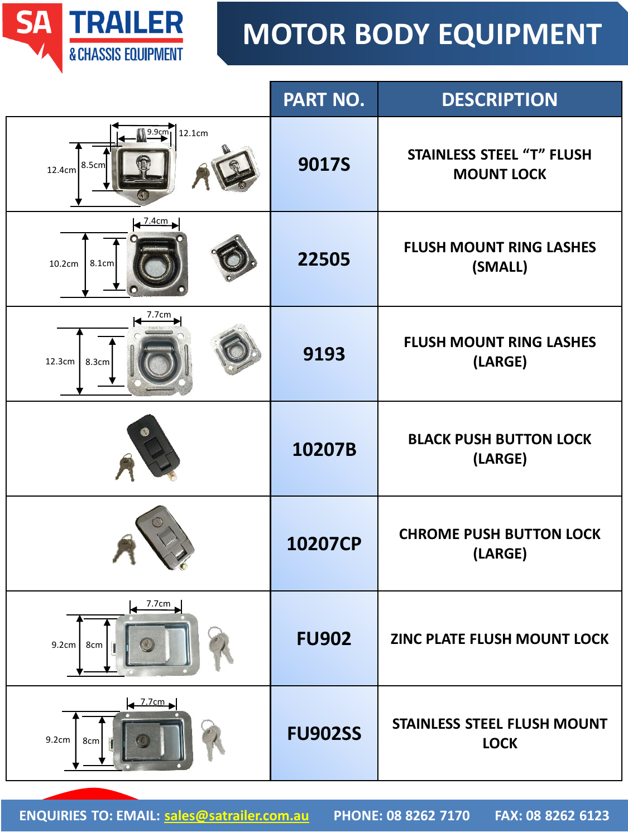

|                                                | PART NO.       | <b>DESCRIPTION</b>                                    |
|------------------------------------------------|----------------|-------------------------------------------------------|
| <sub>19.9cm</sub><br>12.1cm<br>8.5cm<br>12.4cm | <b>9017S</b>   | <b>STAINLESS STEEL "T" FLUSH</b><br><b>MOUNT LOCK</b> |
| <u>7.4cm .</u><br>10.2cm<br>8.1cm              | 22505          | <b>FLUSH MOUNT RING LASHES</b><br>(SMALL)             |
| 7.7cm<br>12.3cm<br>8.3cm                       | 9193           | <b>FLUSH MOUNT RING LASHES</b><br>(LARGE)             |
|                                                | 10207B         | <b>BLACK PUSH BUTTON LOCK</b><br>(LARGE)              |
|                                                | 10207CP        | <b>CHROME PUSH BUTTON LOCK</b><br>(LARGE)             |
| 7.7cm<br>8cm<br>9.2cm                          | <b>FU902</b>   | ZINC PLATE FLUSH MOUNT LOCK                           |
| $\leftarrow$ 7.7cm<br>9.2cm<br>8cm             | <b>FU902SS</b> | <b>STAINLESS STEEL FLUSH MOUNT</b><br><b>LOCK</b>     |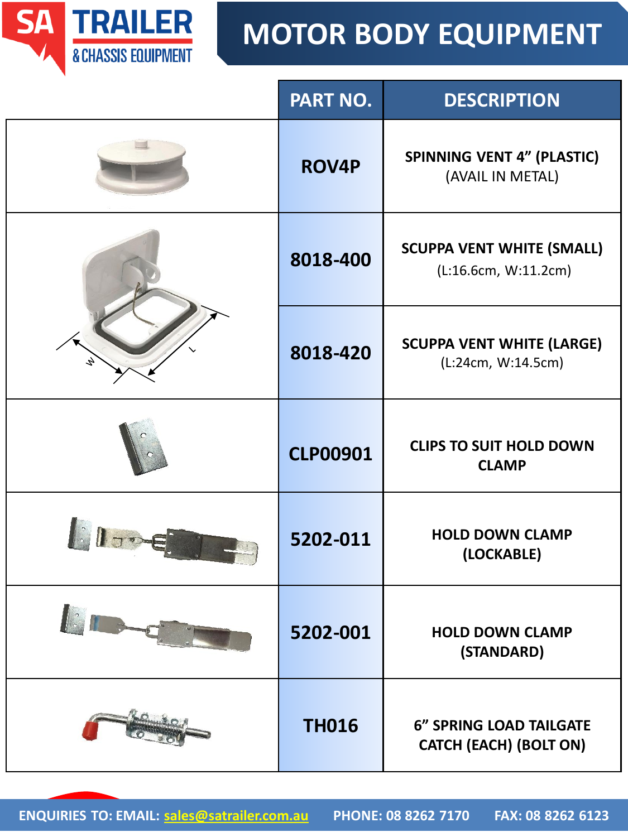

|                     | PART NO.        | <b>DESCRIPTION</b>                                              |
|---------------------|-----------------|-----------------------------------------------------------------|
|                     | <b>ROV4P</b>    | <b>SPINNING VENT 4" (PLASTIC)</b><br>(AVAIL IN METAL)           |
|                     | 8018-400        | <b>SCUPPA VENT WHITE (SMALL)</b><br>(L:16.6cm, W:11.2cm)        |
|                     | 8018-420        | <b>SCUPPA VENT WHITE (LARGE)</b><br>(L:24cm, W:14.5cm)          |
|                     | <b>CLP00901</b> | <b>CLIPS TO SUIT HOLD DOWN</b><br><b>CLAMP</b>                  |
| <b>Automobility</b> | 5202-011        | <b>HOLD DOWN CLAMP</b><br>(LOCKABLE)                            |
|                     | 5202-001        | <b>HOLD DOWN CLAMP</b><br>(STANDARD)                            |
|                     | <b>TH016</b>    | <b>6" SPRING LOAD TAILGATE</b><br><b>CATCH (EACH) (BOLT ON)</b> |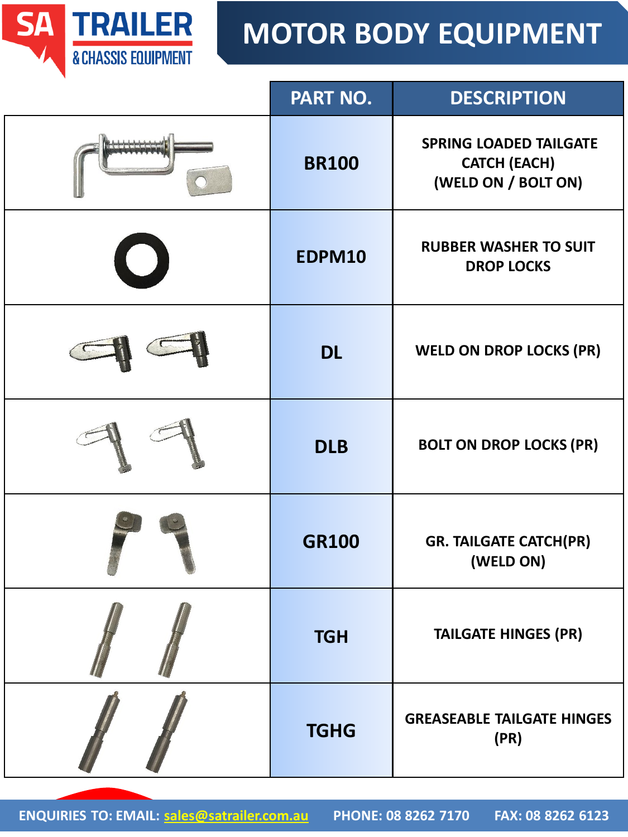

| PART NO.     | <b>DESCRIPTION</b>                                                          |
|--------------|-----------------------------------------------------------------------------|
| <b>BR100</b> | <b>SPRING LOADED TAILGATE</b><br><b>CATCH (EACH)</b><br>(WELD ON / BOLT ON) |
| EDPM10       | <b>RUBBER WASHER TO SUIT</b><br><b>DROP LOCKS</b>                           |
| <b>DL</b>    | <b>WELD ON DROP LOCKS (PR)</b>                                              |
| <b>DLB</b>   | <b>BOLT ON DROP LOCKS (PR)</b>                                              |
| <b>GR100</b> | <b>GR. TAILGATE CATCH(PR)</b><br>(WELD ON)                                  |
| <b>TGH</b>   | <b>TAILGATE HINGES (PR)</b>                                                 |
| <b>TGHG</b>  | <b>GREASEABLE TAILGATE HINGES</b><br>(PR)                                   |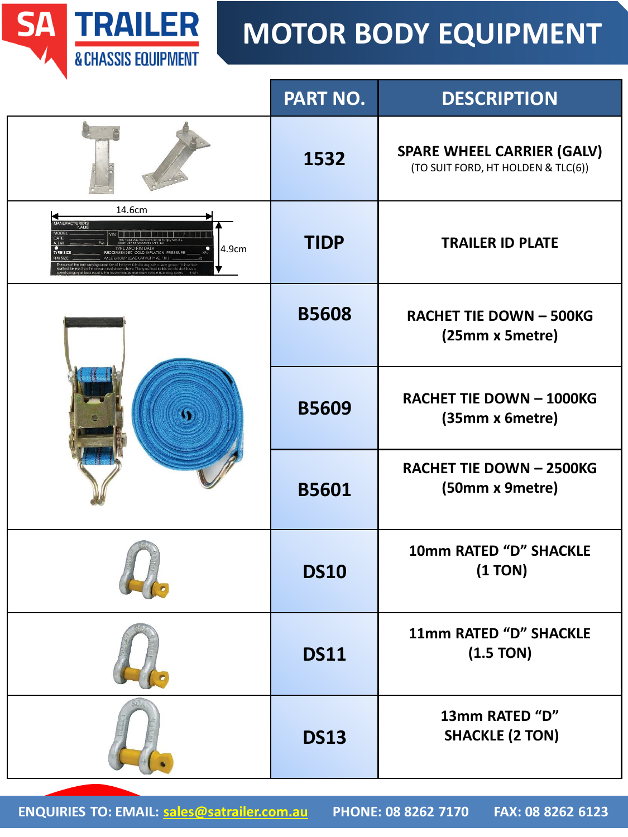

|                                           | PART NO.     | <b>DESCRIPTION</b>                                                      |
|-------------------------------------------|--------------|-------------------------------------------------------------------------|
|                                           | 1532         | <b>SPARE WHEEL CARRIER (GALV)</b><br>(TO SUIT FORD, HT HOLDEN & TLC(6)) |
| 14.6cm<br><b>CTURERS</b><br>NAME<br>4.9cm | <b>TIDP</b>  | <b>TRAILER ID PLATE</b>                                                 |
|                                           | <b>B5608</b> | <b>RACHET TIE DOWN - 500KG</b><br>(25mm x 5metre)                       |
|                                           | <b>B5609</b> | <b>RACHET TIE DOWN - 1000KG</b><br>(35mm x 6metre)                      |
|                                           | <b>B5601</b> | <b>RACHET TIE DOWN - 2500KG</b><br>(50mm x 9metre)                      |
|                                           | <b>DS10</b>  | 10mm RATED "D" SHACKLE<br>(1 TON)                                       |
|                                           | <b>DS11</b>  | 11mm RATED "D" SHACKLE<br>(1.5 TON)                                     |
|                                           | <b>DS13</b>  | 13mm RATED "D"<br><b>SHACKLE (2 TON)</b>                                |